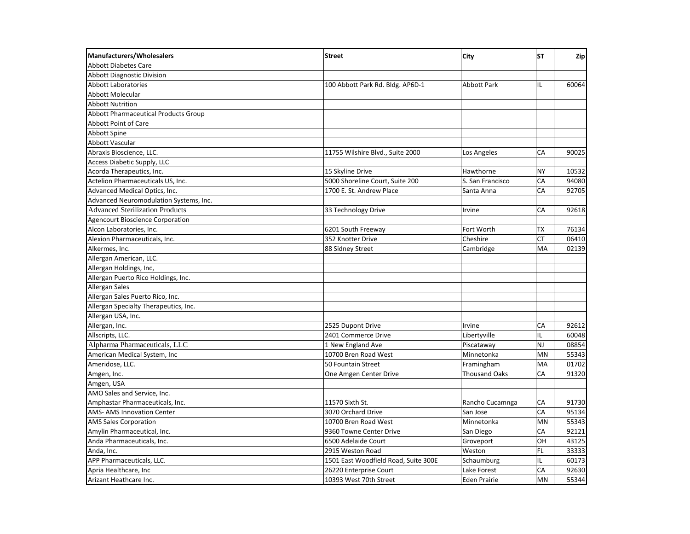| <b>Manufacturers/Wholesalers</b>            | <b>Street</b>                        | City                 | <b>ST</b> | Zip   |
|---------------------------------------------|--------------------------------------|----------------------|-----------|-------|
| <b>Abbott Diabetes Care</b>                 |                                      |                      |           |       |
| <b>Abbott Diagnostic Division</b>           |                                      |                      |           |       |
| <b>Abbott Laboratories</b>                  | 100 Abbott Park Rd. Bldg. AP6D-1     | <b>Abbott Park</b>   | IL        | 60064 |
| Abbott Molecular                            |                                      |                      |           |       |
| <b>Abbott Nutrition</b>                     |                                      |                      |           |       |
| <b>Abbott Pharmaceutical Products Group</b> |                                      |                      |           |       |
| <b>Abbott Point of Care</b>                 |                                      |                      |           |       |
| Abbott Spine                                |                                      |                      |           |       |
| Abbott Vascular                             |                                      |                      |           |       |
| Abraxis Bioscience, LLC.                    | 11755 Wilshire Blvd., Suite 2000     | Los Angeles          | CA        | 90025 |
| Access Diabetic Supply, LLC                 |                                      |                      |           |       |
| Acorda Therapeutics, Inc.                   | 15 Skyline Drive                     | Hawthorne            | <b>NY</b> | 10532 |
| Actelion Pharmaceuticals US, Inc.           | 5000 Shoreline Court, Suite 200      | S. San Francisco     | CA        | 94080 |
| Advanced Medical Optics, Inc.               | 1700 E. St. Andrew Place             | Santa Anna           | CA        | 92705 |
| Advanced Neuromodulation Systems, Inc.      |                                      |                      |           |       |
| <b>Advanced Sterilization Products</b>      | 33 Technology Drive                  | Irvine               | CA        | 92618 |
| <b>Agencourt Bioscience Corporation</b>     |                                      |                      |           |       |
| Alcon Laboratories, Inc.                    | 6201 South Freeway                   | Fort Worth           | TX        | 76134 |
| Alexion Pharmaceuticals, Inc.               | 352 Knotter Drive                    | Cheshire             | <b>CT</b> | 06410 |
| Alkermes, Inc.                              | 88 Sidney Street                     | Cambridge            | MA        | 02139 |
| Allergan American, LLC.                     |                                      |                      |           |       |
| Allergan Holdings, Inc,                     |                                      |                      |           |       |
| Allergan Puerto Rico Holdings, Inc.         |                                      |                      |           |       |
| Allergan Sales                              |                                      |                      |           |       |
| Allergan Sales Puerto Rico, Inc.            |                                      |                      |           |       |
| Allergan Specialty Therapeutics, Inc.       |                                      |                      |           |       |
| Allergan USA, Inc.                          |                                      |                      |           |       |
| Allergan, Inc.                              | 2525 Dupont Drive                    | Irvine               | CA        | 92612 |
| Allscripts, LLC.                            | 2401 Commerce Drive                  | Libertyville         | IL        | 60048 |
| Alpharma Pharmaceuticals, LLC               | 1 New England Ave                    | Piscataway           | NJ        | 08854 |
| American Medical System, Inc                | 10700 Bren Road West                 | Minnetonka           | <b>MN</b> | 55343 |
| Ameridose, LLC.                             | 50 Fountain Street                   | Framingham           | MA        | 01702 |
| Amgen, Inc.                                 | One Amgen Center Drive               | <b>Thousand Oaks</b> | CA        | 91320 |
| Amgen, USA                                  |                                      |                      |           |       |
| AMO Sales and Service, Inc.                 |                                      |                      |           |       |
| Amphastar Pharmaceuticals. Inc.             | 11570 Sixth St.                      | Rancho Cucamnga      | CA        | 91730 |
| AMS- AMS Innovation Center                  | 3070 Orchard Drive                   | San Jose             | CA        | 95134 |
| <b>AMS Sales Corporation</b>                | 10700 Bren Road West                 | Minnetonka           | <b>MN</b> | 55343 |
| Amylin Pharmaceutical, Inc.                 | 9360 Towne Center Drive              | San Diego            | CA        | 92121 |
| Anda Pharmaceuticals, Inc.                  | 6500 Adelaide Court                  | Groveport            | OH        | 43125 |
| Anda, Inc.                                  | 2915 Weston Road                     | Weston               | FL.       | 33333 |
| APP Pharmaceuticals, LLC.                   | 1501 East Woodfield Road, Suite 300E | Schaumburg           | IL        | 60173 |
| Apria Healthcare, Inc                       | 26220 Enterprise Court               | Lake Forest          | CA        | 92630 |
| Arizant Heathcare Inc.                      | 10393 West 70th Street               | <b>Eden Prairie</b>  | <b>MN</b> | 55344 |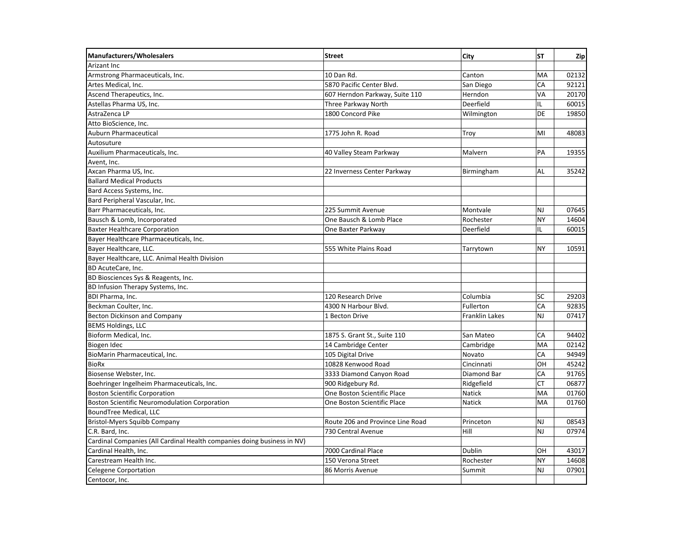| <b>Manufacturers/Wholesalers</b>                                        | <b>Street</b>                    | City           | <b>ST</b> | Zip   |
|-------------------------------------------------------------------------|----------------------------------|----------------|-----------|-------|
| Arizant Inc                                                             |                                  |                |           |       |
| Armstrong Pharmaceuticals, Inc.                                         | 10 Dan Rd.                       | Canton         | MA        | 02132 |
| Artes Medical, Inc.                                                     | 5870 Pacific Center Blvd.        | San Diego      | CA        | 92121 |
| Ascend Therapeutics, Inc.                                               | 607 Herndon Parkway, Suite 110   | Herndon        | VA        | 20170 |
| Astellas Pharma US, Inc.                                                | Three Parkway North              | Deerfield      | IL.       | 60015 |
| AstraZenca LP                                                           | 1800 Concord Pike                | Wilmington     | DE        | 19850 |
| Atto BioScience, Inc.                                                   |                                  |                |           |       |
| Auburn Pharmaceutical                                                   | 1775 John R. Road                | Troy           | MI        | 48083 |
| Autosuture                                                              |                                  |                |           |       |
| Auxilium Pharmaceuticals, Inc.                                          | 40 Valley Steam Parkway          | Malvern        | PA        | 19355 |
| Avent, Inc.                                                             |                                  |                |           |       |
| Axcan Pharma US, Inc.                                                   | 22 Inverness Center Parkway      | Birmingham     | AL        | 35242 |
| <b>Ballard Medical Products</b>                                         |                                  |                |           |       |
| Bard Access Systems, Inc.                                               |                                  |                |           |       |
| Bard Peripheral Vascular, Inc.                                          |                                  |                |           |       |
| Barr Pharmaceuticals, Inc.                                              | 225 Summit Avenue                | Montvale       | NJ        | 07645 |
| Bausch & Lomb, Incorporated                                             | One Bausch & Lomb Place          | Rochester      | <b>NY</b> | 14604 |
| <b>Baxter Healthcare Corporation</b>                                    | One Baxter Parkway               | Deerfield      | IL        | 60015 |
| Bayer Healthcare Pharmaceuticals, Inc.                                  |                                  |                |           |       |
| Bayer Healthcare, LLC.                                                  | 555 White Plains Road            | Tarrytown      | <b>NY</b> | 10591 |
| Bayer Healthcare, LLC. Animal Health Division                           |                                  |                |           |       |
| BD AcuteCare, Inc.                                                      |                                  |                |           |       |
| BD Biosciences Sys & Reagents, Inc.                                     |                                  |                |           |       |
| BD Infusion Therapy Systems, Inc.                                       |                                  |                |           |       |
| <b>BDI Pharma, Inc.</b>                                                 | 120 Research Drive               | Columbia       | SC        | 29203 |
| Beckman Coulter, Inc.                                                   | 4300 N Harbour Blvd.             | Fullerton      | CA        | 92835 |
| <b>Becton Dickinson and Company</b>                                     | 1 Becton Drive                   | Franklin Lakes | NJ        | 07417 |
| <b>BEMS Holdings, LLC</b>                                               |                                  |                |           |       |
| Bioform Medical, Inc.                                                   | 1875 S. Grant St., Suite 110     | San Mateo      | CA        | 94402 |
| Biogen Idec                                                             | 14 Cambridge Center              | Cambridge      | MA        | 02142 |
| BioMarin Pharmaceutical, Inc.                                           | 105 Digital Drive                | Novato         | CA        | 94949 |
| <b>BioRx</b>                                                            | 10828 Kenwood Road               | Cincinnati     | OH        | 45242 |
| Biosense Webster, Inc.                                                  | 3333 Diamond Canyon Road         | Diamond Bar    | CA        | 91765 |
| Boehringer Ingelheim Pharmaceuticals, Inc.                              | 900 Ridgebury Rd.                | Ridgefield     | <b>CT</b> | 06877 |
| <b>Boston Scientific Corporation</b>                                    | One Boston Scientific Place      | Natick         | MA        | 01760 |
| <b>Boston Scientific Neuromodulation Corporation</b>                    | One Boston Scientific Place      | Natick         | MA        | 01760 |
| <b>BoundTree Medical, LLC</b>                                           |                                  |                |           |       |
| <b>Bristol-Myers Squibb Company</b>                                     | Route 206 and Province Line Road | Princeton      | NJ        | 08543 |
| C.R. Bard, Inc.                                                         | 730 Central Avenue               | Hill           | NJ        | 07974 |
| Cardinal Companies (All Cardinal Health companies doing business in NV) |                                  |                |           |       |
| Cardinal Health, Inc.                                                   | 7000 Cardinal Place              | Dublin         | OH        | 43017 |
| Carestream Health Inc.                                                  | 150 Verona Street                | Rochester      | NY        | 14608 |
| <b>Celegene Corportation</b>                                            | 86 Morris Avenue                 | Summit         | NJ        | 07901 |
| Centocor, Inc.                                                          |                                  |                |           |       |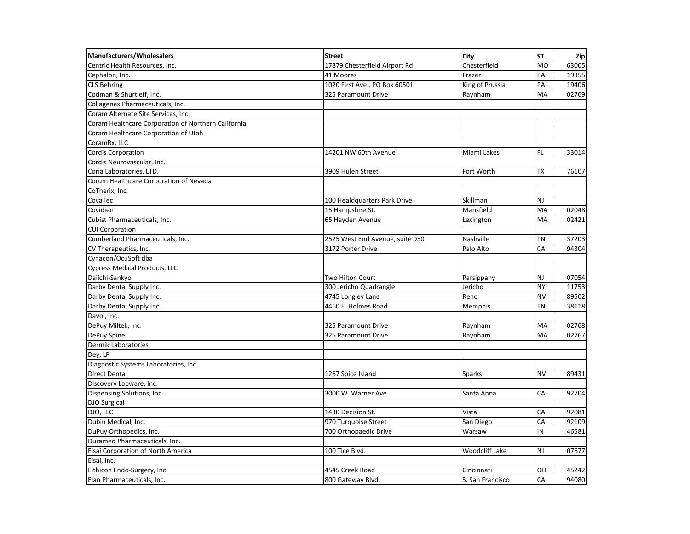| <b>Manufacturers/Wholesalers</b>                    | <b>Street</b>                   | City             | <b>ST</b> | Zip   |
|-----------------------------------------------------|---------------------------------|------------------|-----------|-------|
| Centric Health Resources, Inc.                      | 17879 Chesterfield Airport Rd.  | Chesterfield     | <b>MO</b> | 63005 |
| Cephalon, Inc.                                      | 41 Moores                       | Frazer           | PA        | 19355 |
| <b>CLS Behring</b>                                  | 1020 First Ave., PO Box 60501   | King of Prussia  | PA        | 19406 |
| Codman & Shurtleff, Inc.                            | 325 Paramount Drive             | Raynham          | MA        | 02769 |
| Collagenex Pharmaceuticals, Inc.                    |                                 |                  |           |       |
| Coram Alternate Site Services, Inc.                 |                                 |                  |           |       |
| Coram Healthcare Corporation of Northern California |                                 |                  |           |       |
| Coram Healthcare Corporation of Utah                |                                 |                  |           |       |
| CoramRx, LLC                                        |                                 |                  |           |       |
| Cordis Corporation                                  | 14201 NW 60th Avenue            | Miami Lakes      | <b>FL</b> | 33014 |
| Cordis Neurovascular, Inc.                          |                                 |                  |           |       |
| Coria Laboratories, LTD.                            | 3909 Hulen Street               | Fort Worth       | <b>TX</b> | 76107 |
| Corum Healthcare Corporation of Nevada              |                                 |                  |           |       |
| CoTherix, Inc.                                      |                                 |                  |           |       |
| CovaTec                                             | 100 Healdquarters Park Drive    | Skillman         | <b>NJ</b> |       |
| Covidien                                            | 15 Hampshire St.                | Mansfield        | <b>MA</b> | 02048 |
| Cubist Pharmaceuticals, Inc.                        | 65 Hayden Avenue                | Lexington        | <b>MA</b> | 02421 |
| <b>CUI Corporation</b>                              |                                 |                  |           |       |
| Cumberland Pharmaceuticals, Inc.                    | 2525 West End Avenue, suite 950 | Nashville        | <b>TN</b> | 37203 |
| CV Therapeutics, Inc.                               | 3172 Porter Drive               | Palo Alto        | CA        | 94304 |
| Cynacon/OcuSoft dba                                 |                                 |                  |           |       |
| Cypress Medical Products, LLC                       |                                 |                  |           |       |
| Daiichi-Sankyo                                      | <b>Two Hilton Court</b>         | Parsippany       | <b>NJ</b> | 07054 |
| Darby Dental Supply Inc.                            | 300 Jericho Quadrangle          | Jericho          | <b>NY</b> | 11753 |
| Darby Dental Supply Inc.                            | 4745 Longley Lane               | Reno             | <b>NV</b> | 89502 |
| Darby Dental Supply Inc.                            | 4460 E. Holmes Road             | Memphis          | <b>TN</b> | 38118 |
| Davol, Inc.                                         |                                 |                  |           |       |
| DePuy Miltek, Inc.                                  | 325 Paramount Drive             | Raynham          | <b>MA</b> | 02768 |
| DePuy Spine                                         | 325 Paramount Drive             | Raynham          | <b>MA</b> | 02767 |
| Dermik Laboratories                                 |                                 |                  |           |       |
| Dey, LP                                             |                                 |                  |           |       |
| Diagnostic Systems Laboratories, Inc.               |                                 |                  |           |       |
| Direct Dental                                       | 1267 Spice Island               | <b>Sparks</b>    | <b>NV</b> | 89431 |
| Discovery Labware, Inc.                             |                                 |                  |           |       |
| Dispensing Solutions, Inc.                          | 3000 W. Warner Ave.             | Santa Anna       | CA        | 92704 |
| DJO Surgical                                        |                                 |                  |           |       |
| DJO, LLC                                            | 1430 Decision St.               | Vista            | CA        | 92081 |
| Dubin Medical, Inc.                                 | 970 Turquoise Street            | San Diego        | CA        | 92109 |
| DuPuy Orthopedics, Inc.                             | 700 Orthopaedic Drive           | Warsaw           | IN        | 46581 |
| Duramed Pharmaceuticals, Inc.                       |                                 |                  |           |       |
| Eisai Corporation of North America                  | 100 Tice Blvd.                  | Woodcliff Lake   | <b>NJ</b> | 07677 |
| Eisai, Inc.                                         |                                 |                  |           |       |
| Eithicon Endo-Surgery, Inc.                         | 4545 Creek Road                 | Cincinnati       | OH        | 45242 |
| Elan Pharmaceuticals, Inc.                          | 800 Gateway Blvd.               | S. San Francisco | CA        | 94080 |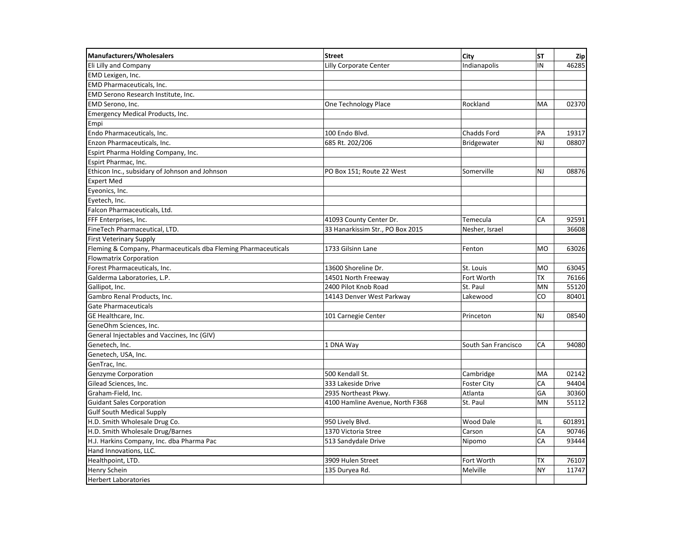| <b>Manufacturers/Wholesalers</b>                               | <b>Street</b>                    | City                | ST        | Zip    |
|----------------------------------------------------------------|----------------------------------|---------------------|-----------|--------|
| Eli Lilly and Company                                          | Lilly Corporate Center           | Indianapolis        | IN        | 46285  |
| EMD Lexigen, Inc.                                              |                                  |                     |           |        |
| EMD Pharmaceuticals, Inc.                                      |                                  |                     |           |        |
| EMD Serono Research Institute, Inc.                            |                                  |                     |           |        |
| EMD Serono, Inc.                                               | One Technology Place             | Rockland            | MA        | 02370  |
| <b>Emergency Medical Products, Inc.</b>                        |                                  |                     |           |        |
| Empi                                                           |                                  |                     |           |        |
| Endo Pharmaceuticals, Inc.                                     | 100 Endo Blvd.                   | Chadds Ford         | PA        | 19317  |
| Enzon Pharmaceuticals, Inc.                                    | 685 Rt. 202/206                  | Bridgewater         | NJ        | 08807  |
| Espirt Pharma Holding Company, Inc.                            |                                  |                     |           |        |
| Espirt Pharmac, Inc.                                           |                                  |                     |           |        |
| Ethicon Inc., subsidary of Johnson and Johnson                 | PO Box 151; Route 22 West        | Somerville          | NJ        | 08876  |
| <b>Expert Med</b>                                              |                                  |                     |           |        |
| Eyeonics, Inc.                                                 |                                  |                     |           |        |
| Eyetech, Inc.                                                  |                                  |                     |           |        |
| Falcon Pharmaceuticals, Ltd.                                   |                                  |                     |           |        |
| FFF Enterprises, Inc.                                          | 41093 County Center Dr.          | Temecula            | CA        | 92591  |
| FineTech Pharmaceutical, LTD.                                  | 33 Hanarkissim Str., PO Box 2015 | Nesher, Israel      |           | 36608  |
| <b>First Veterinary Supply</b>                                 |                                  |                     |           |        |
| Fleming & Company, Pharmaceuticals dba Fleming Pharmaceuticals | 1733 Gilsinn Lane                | Fenton              | <b>MO</b> | 63026  |
| <b>Flowmatrix Corporation</b>                                  |                                  |                     |           |        |
| Forest Pharmaceuticals, Inc.                                   | 13600 Shoreline Dr.              | St. Louis           | <b>MO</b> | 63045  |
| Galderma Laboratories, L.P.                                    | 14501 North Freeway              | Fort Worth          | <b>TX</b> | 76166  |
| Gallipot, Inc.                                                 | 2400 Pilot Knob Road             | St. Paul            | MN        | 55120  |
| Gambro Renal Products, Inc.                                    | 14143 Denver West Parkway        | Lakewood            | CO        | 80401  |
| Gate Pharmaceuticals                                           |                                  |                     |           |        |
| GE Healthcare, Inc.                                            | 101 Carnegie Center              | Princeton           | NJ        | 08540  |
| GeneOhm Sciences, Inc.                                         |                                  |                     |           |        |
| General Injectables and Vaccines, Inc (GIV)                    |                                  |                     |           |        |
| Genetech, Inc.                                                 | 1 DNA Way                        | South San Francisco | CA        | 94080  |
| Genetech, USA, Inc.                                            |                                  |                     |           |        |
| GenTrac, Inc.                                                  |                                  |                     |           |        |
| Genzyme Corporation                                            | 500 Kendall St.                  | Cambridge           | MA        | 02142  |
| Gilead Sciences, Inc.                                          | 333 Lakeside Drive               | <b>Foster City</b>  | CA        | 94404  |
| Graham-Field, Inc.                                             | 2935 Northeast Pkwy.             | Atlanta             | GA        | 30360  |
| <b>Guidant Sales Corporation</b>                               | 4100 Hamline Avenue, North F368  | St. Paul            | <b>MN</b> | 55112  |
| <b>Gulf South Medical Supply</b>                               |                                  |                     |           |        |
| H.D. Smith Wholesale Drug Co.                                  | 950 Lively Blvd.                 | <b>Wood Dale</b>    | IL.       | 601891 |
| H.D. Smith Wholesale Drug/Barnes                               | 1370 Victoria Stree              | Carson              | CA        | 90746  |
| H.J. Harkins Company, Inc. dba Pharma Pac                      | 513 Sandydale Drive              | Nipomo              | CA        | 93444  |
| Hand Innovations, LLC.                                         |                                  |                     |           |        |
| Healthpoint, LTD.                                              | 3909 Hulen Street                | Fort Worth          | TX        | 76107  |
| Henry Schein                                                   | 135 Duryea Rd.                   | Melville            | <b>NY</b> | 11747  |
| <b>Herbert Laboratories</b>                                    |                                  |                     |           |        |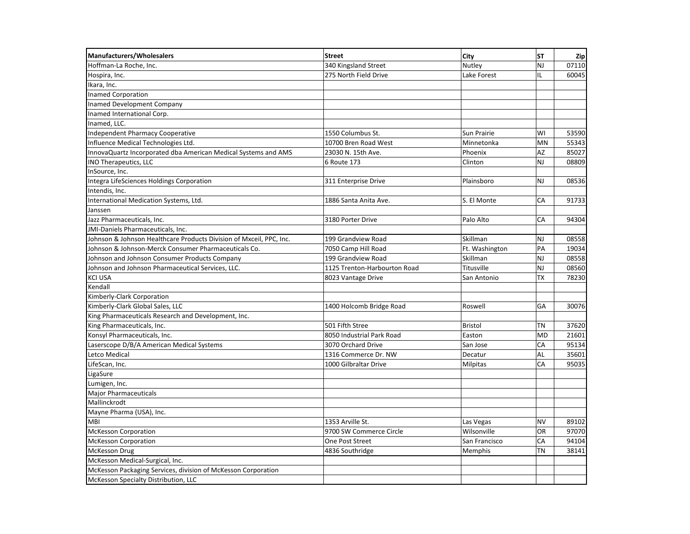| <b>Manufacturers/Wholesalers</b>                                    | <b>Street</b>                | City            | <b>ST</b> | <b>Zip</b> |
|---------------------------------------------------------------------|------------------------------|-----------------|-----------|------------|
| Hoffman-La Roche, Inc.                                              | 340 Kingsland Street         | Nutley          | NJ        | 07110      |
| Hospira, Inc.                                                       | 275 North Field Drive        | Lake Forest     | IL.       | 60045      |
| Ikara, Inc.                                                         |                              |                 |           |            |
| <b>Inamed Corporation</b>                                           |                              |                 |           |            |
| Inamed Development Company                                          |                              |                 |           |            |
| Inamed International Corp.                                          |                              |                 |           |            |
| Inamed, LLC.                                                        |                              |                 |           |            |
| <b>Independent Pharmacy Cooperative</b>                             | 1550 Columbus St.            | Sun Prairie     | WI        | 53590      |
| Influence Medical Technologies Ltd.                                 | 10700 Bren Road West         | Minnetonka      | MN        | 55343      |
| InnovaQuartz Incorporated dba American Medical Systems and AMS      | 23030 N. 15th Ave.           | Phoenix         | AZ        | 85027      |
| INO Therapeutics, LLC                                               | 6 Route 173                  | Clinton         | NJ        | 08809      |
| InSource, Inc.                                                      |                              |                 |           |            |
| Integra LifeSciences Holdings Corporation                           | 311 Enterprise Drive         | Plainsboro      | NJ        | 08536      |
| Intendis, Inc.                                                      |                              |                 |           |            |
| International Medication Systems, Ltd.                              | 1886 Santa Anita Ave.        | S. El Monte     | CA        | 91733      |
| Janssen                                                             |                              |                 |           |            |
| Jazz Pharmaceuticals, Inc.                                          | 3180 Porter Drive            | Palo Alto       | CA        | 94304      |
| JMI-Daniels Pharmaceuticals, Inc.                                   |                              |                 |           |            |
| Johnson & Johnson Healthcare Products Division of Mxceil, PPC, Inc. | 199 Grandview Road           | Skillman        | <b>NJ</b> | 08558      |
| Johnson & Johnson-Merck Consumer Pharmaceuticals Co.                | 7050 Camp Hill Road          | Ft. Washington  | PA        | 19034      |
| Johnson and Johnson Consumer Products Company                       | 199 Grandview Road           | Skillman        | NJ        | 08558      |
| Johnson and Johnson Pharmaceutical Services, LLC.                   | 1125 Trenton-Harbourton Road | Titusville      | NJ        | 08560      |
| <b>KCI USA</b>                                                      | 8023 Vantage Drive           | San Antonio     | <b>TX</b> | 78230      |
| Kendall                                                             |                              |                 |           |            |
| Kimberly-Clark Corporation                                          |                              |                 |           |            |
| Kimberly-Clark Global Sales, LLC                                    | 1400 Holcomb Bridge Road     | Roswell         | GA        | 30076      |
| King Pharmaceuticals Research and Development, Inc.                 |                              |                 |           |            |
| King Pharmaceuticals, Inc.                                          | 501 Fifth Stree              | <b>Bristol</b>  | TN        | 37620      |
| Konsyl Pharmaceuticals, Inc.                                        | 8050 Industrial Park Road    | Easton          | <b>MD</b> | 21601      |
| Laserscope D/B/A American Medical Systems                           | 3070 Orchard Drive           | San Jose        | CA        | 95134      |
| Letco Medical                                                       | 1316 Commerce Dr. NW         | Decatur         | AL        | 35601      |
| LifeScan, Inc.                                                      | 1000 Gilbraltar Drive        | <b>Milpitas</b> | CA        | 95035      |
| LigaSure                                                            |                              |                 |           |            |
| Lumigen, Inc.                                                       |                              |                 |           |            |
| <b>Major Pharmaceuticals</b>                                        |                              |                 |           |            |
| Mallinckrodt                                                        |                              |                 |           |            |
| Mayne Pharma (USA), Inc.                                            |                              |                 |           |            |
| <b>MBI</b>                                                          | 1353 Arville St.             | Las Vegas       | <b>NV</b> | 89102      |
| <b>McKesson Corporation</b>                                         | 9700 SW Commerce Circle      | Wilsonville     | OR        | 97070      |
| <b>McKesson Corporation</b>                                         | One Post Street              | San Francisco   | CA        | 94104      |
| McKesson Drug                                                       | 4836 Southridge              | Memphis         | ΤN        | 38141      |
| McKesson Medical-Surgical, Inc.                                     |                              |                 |           |            |
| McKesson Packaging Services, division of McKesson Corporation       |                              |                 |           |            |
| McKesson Specialty Distribution, LLC                                |                              |                 |           |            |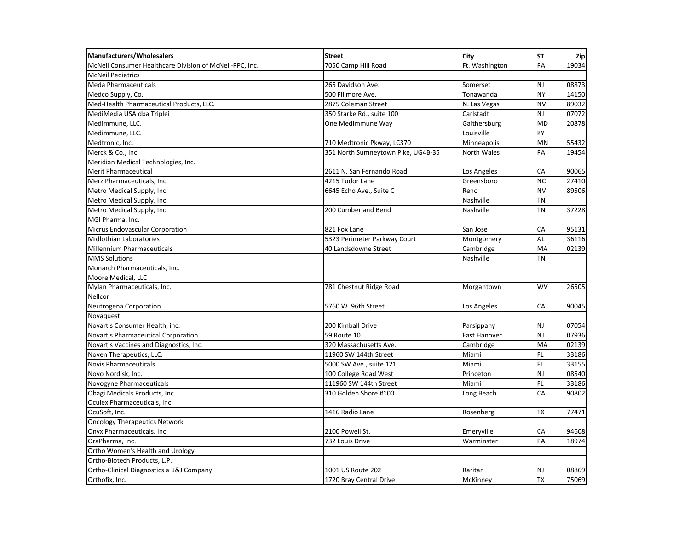| Manufacturers/Wholesalers                               | <b>Street</b>                      | City           | <b>ST</b> | <b>Zip</b> |
|---------------------------------------------------------|------------------------------------|----------------|-----------|------------|
| McNeil Consumer Healthcare Division of McNeil-PPC, Inc. | 7050 Camp Hill Road                | Ft. Washington | PA        | 19034      |
| <b>McNeil Pediatrics</b>                                |                                    |                |           |            |
| Meda Pharmaceuticals                                    | 265 Davidson Ave.                  | Somerset       | NJ        | 08873      |
| Medco Supply, Co.                                       | 500 Fillmore Ave.                  | Tonawanda      | NY        | 14150      |
| Med-Health Pharmaceutical Products, LLC.                | 2875 Coleman Street                | N. Las Vegas   | <b>NV</b> | 89032      |
| MediMedia USA dba Triplei                               | 350 Starke Rd., suite 100          | Carlstadt      | NJ        | 07072      |
| Medimmune, LLC.                                         | One Medimmune Way                  | Gaithersburg   | <b>MD</b> | 20878      |
| Medimmune, LLC.                                         |                                    | Louisville     | KY        |            |
| Medtronic, Inc.                                         | 710 Medtronic Pkway, LC370         | Minneapolis    | <b>MN</b> | 55432      |
| Merck & Co., Inc.                                       | 351 North Sumneytown Pike, UG4B-35 | North Wales    | PA        | 19454      |
| Meridian Medical Technologies, Inc.                     |                                    |                |           |            |
| Merit Pharmaceutical                                    | 2611 N. San Fernando Road          | Los Angeles    | CA        | 90065      |
| Merz Pharmaceuticals, Inc.                              | 4215 Tudor Lane                    | Greensboro     | <b>NC</b> | 27410      |
| Metro Medical Supply, Inc.                              | 6645 Echo Ave., Suite C            | Reno           | <b>NV</b> | 89506      |
| Metro Medical Supply, Inc.                              |                                    | Nashville      | <b>TN</b> |            |
| Metro Medical Supply, Inc.                              | 200 Cumberland Bend                | Nashville      | ΤN        | 37228      |
| MGI Pharma, Inc.                                        |                                    |                |           |            |
| Micrus Endovascular Corporation                         | 821 Fox Lane                       | San Jose       | CA        | 95131      |
| Midlothian Laboratories                                 | 5323 Perimeter Parkway Court       | Montgomery     | AL        | 36116      |
| <b>Millennium Pharmaceuticals</b>                       | 40 Landsdowne Street               | Cambridge      | MA        | 02139      |
| <b>MMS Solutions</b>                                    |                                    | Nashville      | ΤN        |            |
| Monarch Pharmaceuticals, Inc.                           |                                    |                |           |            |
| Moore Medical, LLC                                      |                                    |                |           |            |
| Mylan Pharmaceuticals, Inc.                             | 781 Chestnut Ridge Road            | Morgantown     | <b>WV</b> | 26505      |
| Nellcor                                                 |                                    |                |           |            |
| Neutrogena Corporation                                  | 5760 W. 96th Street                | Los Angeles    | CA        | 90045      |
| Novaquest                                               |                                    |                |           |            |
| Novartis Consumer Health, inc.                          | 200 Kimball Drive                  | Parsippany     | <b>NJ</b> | 07054      |
| Novartis Pharmaceutical Corporation                     | 59 Route 10                        | East Hanover   | NJ        | 07936      |
| Novartis Vaccines and Diagnostics, Inc.                 | 320 Massachusetts Ave.             | Cambridge      | MA        | 02139      |
| Noven Therapeutics, LLC.                                | 11960 SW 144th Street              | Miami          | FL.       | 33186      |
| <b>Novis Pharmaceuticals</b>                            | 5000 SW Ave., suite 121            | Miami          | FL.       | 33155      |
| Novo Nordisk, Inc.                                      | 100 College Road West              | Princeton      | NJ        | 08540      |
| Novogyne Pharmaceuticals                                | 111960 SW 144th Street             | Miami          | FL.       | 33186      |
| Obagi Medicals Products, Inc.                           | 310 Golden Shore #100              | Long Beach     | CA        | 90802      |
| Oculex Pharmaceuticals, Inc.                            |                                    |                |           |            |
| OcuSoft, Inc.                                           | 1416 Radio Lane                    | Rosenberg      | <b>TX</b> | 77471      |
| <b>Oncology Therapeutics Network</b>                    |                                    |                |           |            |
| Onyx Pharmaceuticals. Inc.                              | 2100 Powell St.                    | Emeryville     | СA        | 94608      |
| OraPharma, Inc.                                         | 732 Louis Drive                    | Warminster     | PA        | 18974      |
| Ortho Women's Health and Urology                        |                                    |                |           |            |
| Ortho-Biotech Products, L.P.                            |                                    |                |           |            |
| Ortho-Clinical Diagnostics a J&J Company                | 1001 US Route 202                  | Raritan        | NJ        | 08869      |
| Orthofix, Inc.                                          | 1720 Bray Central Drive            | McKinney       | <b>TX</b> | 75069      |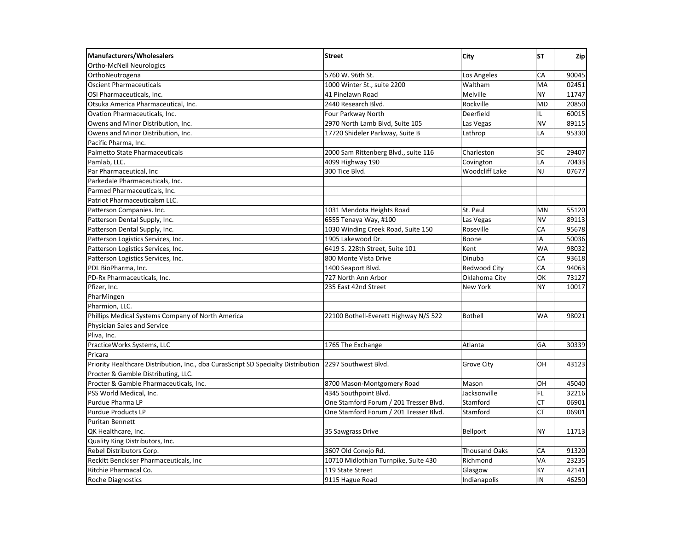| Manufacturers/Wholesalers                                                         | <b>Street</b>                          | City                  | <b>ST</b> | Zip   |
|-----------------------------------------------------------------------------------|----------------------------------------|-----------------------|-----------|-------|
| Ortho-McNeil Neurologics                                                          |                                        |                       |           |       |
| OrthoNeutrogena                                                                   | 5760 W. 96th St.                       | Los Angeles           | CA        | 90045 |
| <b>Oscient Pharmaceuticals</b>                                                    | 1000 Winter St., suite 2200            | Waltham               | MA        | 02451 |
| OSI Pharmaceuticals, Inc.                                                         | 41 Pinelawn Road                       | Melville              | <b>NY</b> | 11747 |
| Otsuka America Pharmaceutical, Inc.                                               | 2440 Research Blvd.                    | Rockville             | <b>MD</b> | 20850 |
| Ovation Pharmaceuticals, Inc.                                                     | Four Parkway North                     | Deerfield             | IL        | 60015 |
| Owens and Minor Distribution, Inc.                                                | 2970 North Lamb Blvd, Suite 105        | Las Vegas             | <b>NV</b> | 89115 |
| Owens and Minor Distribution, Inc.                                                | 17720 Shideler Parkway, Suite B        | Lathrop               | LA        | 95330 |
| Pacific Pharma, Inc.                                                              |                                        |                       |           |       |
| <b>Palmetto State Pharmaceuticals</b>                                             | 2000 Sam Rittenberg Blvd., suite 116   | Charleston            | SC        | 29407 |
| Pamlab, LLC.                                                                      | 4099 Highway 190                       | Covington             | LA        | 70433 |
| Par Pharmaceutical, Inc.                                                          | 300 Tice Blvd.                         | <b>Woodcliff Lake</b> | NJ        | 07677 |
| Parkedale Pharmaceuticals, Inc.                                                   |                                        |                       |           |       |
| Parmed Pharmaceuticals, Inc.                                                      |                                        |                       |           |       |
| Patriot Pharmaceuticalsm LLC.                                                     |                                        |                       |           |       |
| Patterson Companies. Inc.                                                         | 1031 Mendota Heights Road              | St. Paul              | MN        | 55120 |
| Patterson Dental Supply, Inc.                                                     | 6555 Tenaya Way, #100                  | Las Vegas             | <b>NV</b> | 89113 |
| Patterson Dental Supply, Inc.                                                     | 1030 Winding Creek Road, Suite 150     | Roseville             | CA        | 95678 |
| Patterson Logistics Services, Inc.                                                | 1905 Lakewood Dr.                      | Boone                 | IA        | 50036 |
| Patterson Logistics Services, Inc.                                                | 6419 S. 228th Street, Suite 101        | Kent                  | <b>WA</b> | 98032 |
| Patterson Logistics Services, Inc.                                                | 800 Monte Vista Drive                  | Dinuba                | CA        | 93618 |
| PDL BioPharma, Inc.                                                               | 1400 Seaport Blvd.                     | Redwood City          | CA        | 94063 |
| PD-Rx Pharmaceuticals, Inc.                                                       | 727 North Ann Arbor                    | Oklahoma City         | OK        | 73127 |
| Pfizer, Inc.                                                                      | 235 East 42nd Street                   | New York              | NY        | 10017 |
| PharMingen                                                                        |                                        |                       |           |       |
| Pharmion. LLC.                                                                    |                                        |                       |           |       |
| Phillips Medical Systems Company of North America                                 | 22100 Bothell-Everett Highway N/S 522  | <b>Bothell</b>        | WA        | 98021 |
| Physician Sales and Service                                                       |                                        |                       |           |       |
| Pliva, Inc.                                                                       |                                        |                       |           |       |
| PracticeWorks Systems, LLC                                                        | 1765 The Exchange                      | Atlanta               | GA        | 30339 |
| Pricara                                                                           |                                        |                       |           |       |
| Priority Healthcare Distribution, Inc., dba CurasScript SD Specialty Distribution | 2297 Southwest Blvd.                   | <b>Grove City</b>     | OH        | 43123 |
| Procter & Gamble Distributing, LLC.                                               |                                        |                       |           |       |
| Procter & Gamble Pharmaceuticals, Inc.                                            | 8700 Mason-Montgomery Road             | Mason                 | OH        | 45040 |
| PSS World Medical, Inc.                                                           | 4345 Southpoint Blvd.                  | Jacksonville          | FL.       | 32216 |
| Purdue Pharma LP                                                                  | One Stamford Forum / 201 Tresser Blvd. | Stamford              | <b>CT</b> | 06901 |
| <b>Purdue Products LP</b>                                                         | One Stamford Forum / 201 Tresser Blvd. | Stamford              | CT        | 06901 |
| <b>Puritan Bennett</b>                                                            |                                        |                       |           |       |
| QK Healthcare, Inc.                                                               | 35 Sawgrass Drive                      | Bellport              | <b>NY</b> | 11713 |
| Quality King Distributors, Inc.                                                   |                                        |                       |           |       |
| Rebel Distributors Corp.                                                          | 3607 Old Conejo Rd.                    | <b>Thousand Oaks</b>  | CA        | 91320 |
| Reckitt Benckiser Pharmaceuticals, Inc                                            | 10710 Midlothian Turnpike, Suite 430   | Richmond              | VA        | 23235 |
| Ritchie Pharmacal Co.                                                             | 119 State Street                       | Glasgow               | KY        | 42141 |
| <b>Roche Diagnostics</b>                                                          | 9115 Hague Road                        | Indianapolis          | IN        | 46250 |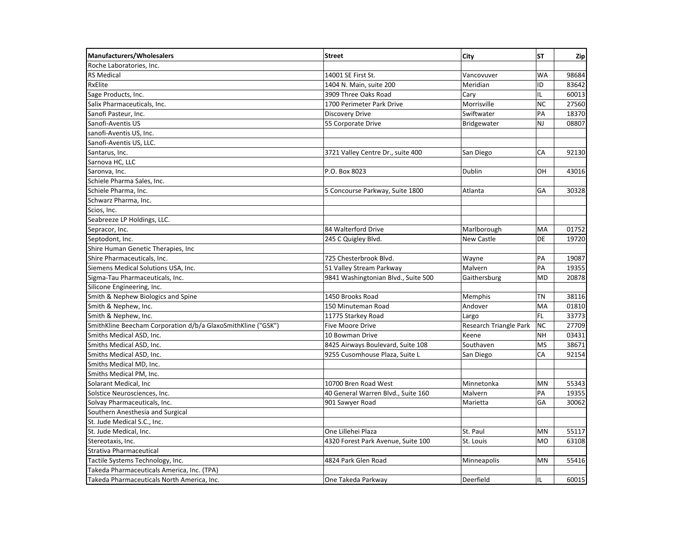| <b>Manufacturers/Wholesalers</b>                             | <b>Street</b>                       | <b>City</b>            | <b>ST</b> | Zip   |
|--------------------------------------------------------------|-------------------------------------|------------------------|-----------|-------|
| Roche Laboratories, Inc.                                     |                                     |                        |           |       |
| <b>RS Medical</b>                                            | 14001 SE First St.                  | Vancovuver             | <b>WA</b> | 98684 |
| RxElite                                                      | 1404 N. Main, suite 200             | Meridian               | ID        | 83642 |
| Sage Products, Inc.                                          | 3909 Three Oaks Road                | Cary                   | IL        | 60013 |
| Salix Pharmaceuticals, Inc.                                  | 1700 Perimeter Park Drive           | Morrisville            | <b>NC</b> | 27560 |
| Sanofi Pasteur, Inc.                                         | <b>Discovery Drive</b>              | Swiftwater             | PA        | 18370 |
| Sanofi-Aventis US                                            | 55 Corporate Drive                  | Bridgewater            | <b>NJ</b> | 08807 |
| sanofi-Aventis US, Inc.                                      |                                     |                        |           |       |
| Sanofi-Aventis US, LLC.                                      |                                     |                        |           |       |
| Santarus, Inc.                                               | 3721 Valley Centre Dr., suite 400   | San Diego              | CA        | 92130 |
| Sarnova HC, LLC                                              |                                     |                        |           |       |
| Saronva, Inc.                                                | P.O. Box 8023                       | Dublin                 | OH        | 43016 |
| Schiele Pharma Sales, Inc.                                   |                                     |                        |           |       |
| Schiele Pharma, Inc.                                         | 5 Concourse Parkway, Suite 1800     | Atlanta                | GA        | 30328 |
| Schwarz Pharma, Inc.                                         |                                     |                        |           |       |
| Scios, Inc.                                                  |                                     |                        |           |       |
| Seabreeze LP Holdings, LLC.                                  |                                     |                        |           |       |
| Sepracor, Inc.                                               | 84 Walterford Drive                 | Marlborough            | MA        | 01752 |
| Septodont, Inc.                                              | 245 C Quigley Blvd.                 | <b>New Castle</b>      | DE        | 19720 |
| Shire Human Genetic Therapies, Inc.                          |                                     |                        |           |       |
| Shire Pharmaceuticals, Inc.                                  | 725 Chesterbrook Blvd.              | Wayne                  | PA        | 19087 |
| Siemens Medical Solutions USA, Inc.                          | 51 Valley Stream Parkway            | Malvern                | PA        | 19355 |
| Sigma-Tau Pharmaceuticals, Inc.                              | 9841 Washingtonian Blvd., Suite 500 | Gaithersburg           | <b>MD</b> | 20878 |
| Silicone Engineering, Inc.                                   |                                     |                        |           |       |
| Smith & Nephew Biologics and Spine                           | 1450 Brooks Road                    | Memphis                | TN        | 38116 |
| Smith & Nephew, Inc.                                         | 150 Minuteman Road                  | Andover                | MA        | 01810 |
| Smith & Nephew, Inc.                                         | 11775 Starkey Road                  | Largo                  | FL.       | 33773 |
| SmithKline Beecham Corporation d/b/a GlaxoSmithKline ("GSK") | <b>Five Moore Drive</b>             | Research Triangle Park | <b>NC</b> | 27709 |
| Smiths Medical ASD, Inc.                                     | 10 Bowman Drive                     | Keene                  | <b>NH</b> | 03431 |
| Smiths Medical ASD, Inc.                                     | 8425 Airways Boulevard, Suite 108   | Southaven              | <b>MS</b> | 38671 |
| Smiths Medical ASD, Inc.                                     | 9255 Cusomhouse Plaza, Suite L      | San Diego              | CA        | 92154 |
| Smiths Medical MD, Inc.                                      |                                     |                        |           |       |
| Smiths Medical PM, Inc.                                      |                                     |                        |           |       |
| Solarant Medical, Inc                                        | 10700 Bren Road West                | Minnetonka             | <b>MN</b> | 55343 |
| Solstice Neurosciences, Inc.                                 | 40 General Warren Blvd., Suite 160  | Malvern                | PA        | 19355 |
| Solvay Pharmaceuticals, Inc.                                 | 901 Sawyer Road                     | Marietta               | GA        | 30062 |
| Southern Anesthesia and Surgical                             |                                     |                        |           |       |
| St. Jude Medical S.C., Inc.                                  |                                     |                        |           |       |
| St. Jude Medical, Inc.                                       | One Lillehei Plaza                  | St. Paul               | MN        | 55117 |
| Stereotaxis, Inc.                                            | 4320 Forest Park Avenue, Suite 100  | St. Louis              | <b>MO</b> | 63108 |
| Strativa Pharmaceutical                                      |                                     |                        |           |       |
| Tactile Systems Technology, Inc.                             | 4824 Park Glen Road                 | Minneapolis            | MN        | 55416 |
| Takeda Pharmaceuticals America, Inc. (TPA)                   |                                     |                        |           |       |
| Takeda Pharmaceuticals North America, Inc.                   | One Takeda Parkway                  | Deerfield              | IL        | 60015 |